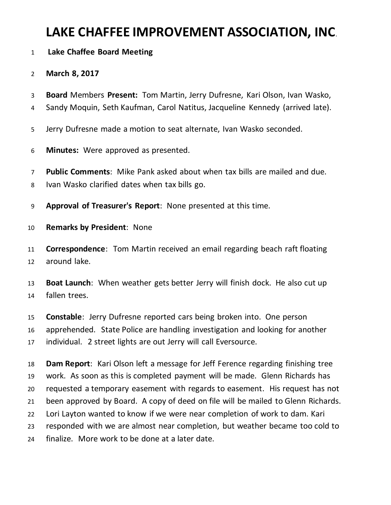# **LAKE CHAFFEE IMPROVEMENT ASSOCIATION, INC**.

### **Lake Chaffee Board Meeting**

### **March 8, 2017**

- **Board** Members **Present:** Tom Martin, Jerry Dufresne, Kari Olson, Ivan Wasko,
- Sandy Moquin, Seth Kaufman, Carol Natitus, Jacqueline Kennedy (arrived late).
- Jerry Dufresne made a motion to seat alternate, Ivan Wasko seconded.
- **Minutes:** Were approved as presented.
- **Public Comments**: Mike Pank asked about when tax bills are mailed and due.
- Ivan Wasko clarified dates when tax bills go.
- **Approval of Treasurer's Report**: None presented at this time.
- **Remarks by President**: None
- **Correspondence**: Tom Martin received an email regarding beach raft floating around lake.
- **Boat Launch**: When weather gets better Jerry will finish dock. He also cut up fallen trees.
- **Constable**: Jerry Dufresne reported cars being broken into. One person apprehended. State Police are handling investigation and looking for another individual. 2 street lights are out Jerry will call Eversource.
- **Dam Report**: Kari Olson left a message for Jeff Ference regarding finishing tree work. As soon as this is completed payment will be made. Glenn Richards has requested a temporary easement with regards to easement. His request has not been approved by Board. A copy of deed on file will be mailed to Glenn Richards. Lori Layton wanted to know if we were near completion of work to dam. Kari responded with we are almost near completion, but weather became too cold to finalize. More work to be done at a later date.